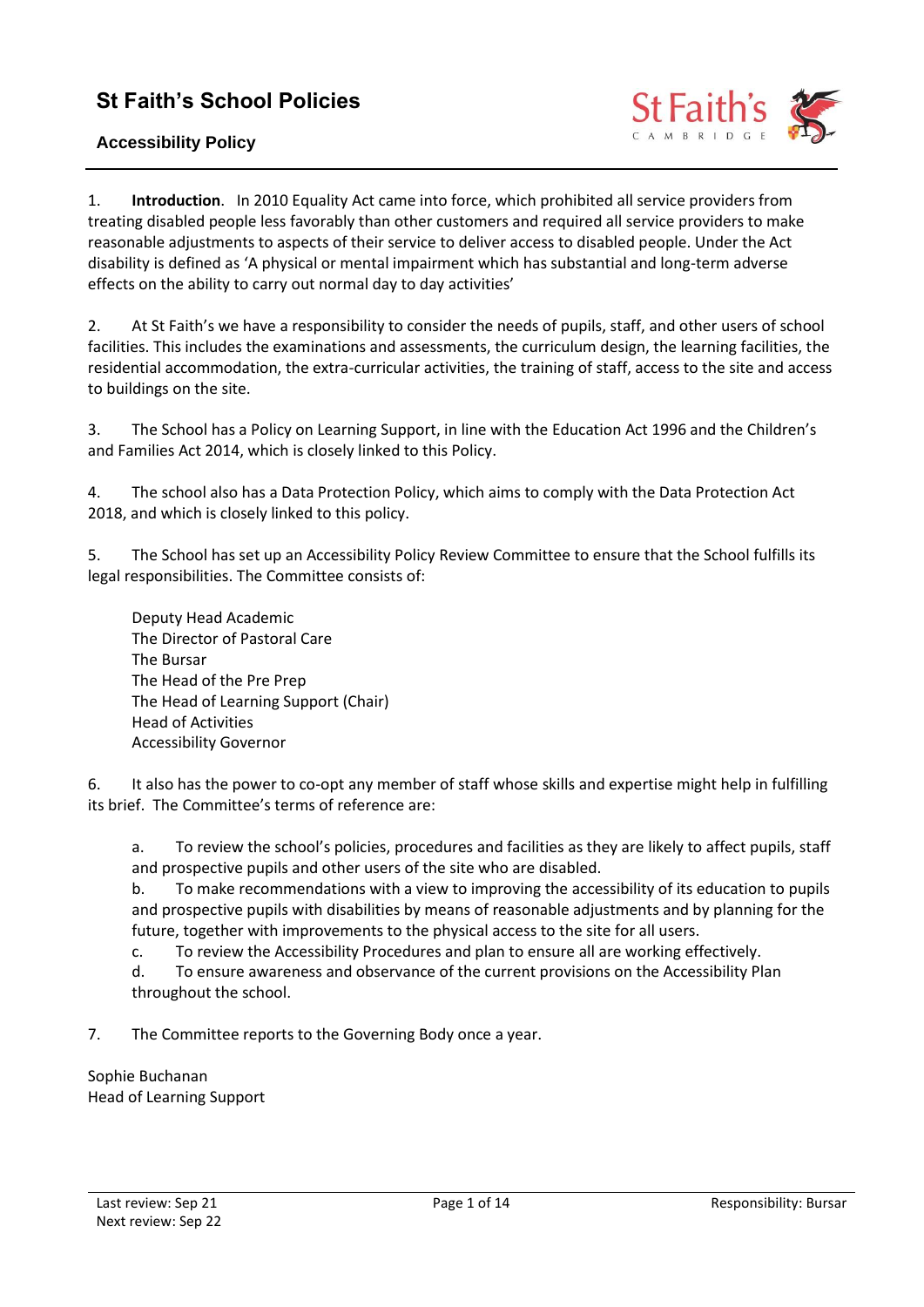# **St Faith's School Policies**

# **Accessibility Policy**



1. **Introduction**. In 2010 Equality Act came into force, which prohibited all service providers from treating disabled people less favorably than other customers and required all service providers to make reasonable adjustments to aspects of their service to deliver access to disabled people. Under the Act disability is defined as 'A physical or mental impairment which has substantial and long-term adverse effects on the ability to carry out normal day to day activities'

2. At St Faith's we have a responsibility to consider the needs of pupils, staff, and other users of school facilities. This includes the examinations and assessments, the curriculum design, the learning facilities, the residential accommodation, the extra-curricular activities, the training of staff, access to the site and access to buildings on the site.

3. The School has a Policy on Learning Support, in line with the Education Act 1996 and the Children's and Families Act 2014, which is closely linked to this Policy.

4. The school also has a Data Protection Policy, which aims to comply with the Data Protection Act 2018, and which is closely linked to this policy.

5. The School has set up an Accessibility Policy Review Committee to ensure that the School fulfills its legal responsibilities. The Committee consists of:

Deputy Head Academic The Director of Pastoral Care The Bursar The Head of the Pre Prep The Head of Learning Support (Chair) Head of Activities Accessibility Governor

6. It also has the power to co-opt any member of staff whose skills and expertise might help in fulfilling its brief. The Committee's terms of reference are:

a. To review the school's policies, procedures and facilities as they are likely to affect pupils, staff and prospective pupils and other users of the site who are disabled.

b. To make recommendations with a view to improving the accessibility of its education to pupils and prospective pupils with disabilities by means of reasonable adjustments and by planning for the future, together with improvements to the physical access to the site for all users.

c. To review the Accessibility Procedures and plan to ensure all are working effectively.

d. To ensure awareness and observance of the current provisions on the Accessibility Plan throughout the school.

7. The Committee reports to the Governing Body once a year.

Sophie Buchanan Head of Learning Support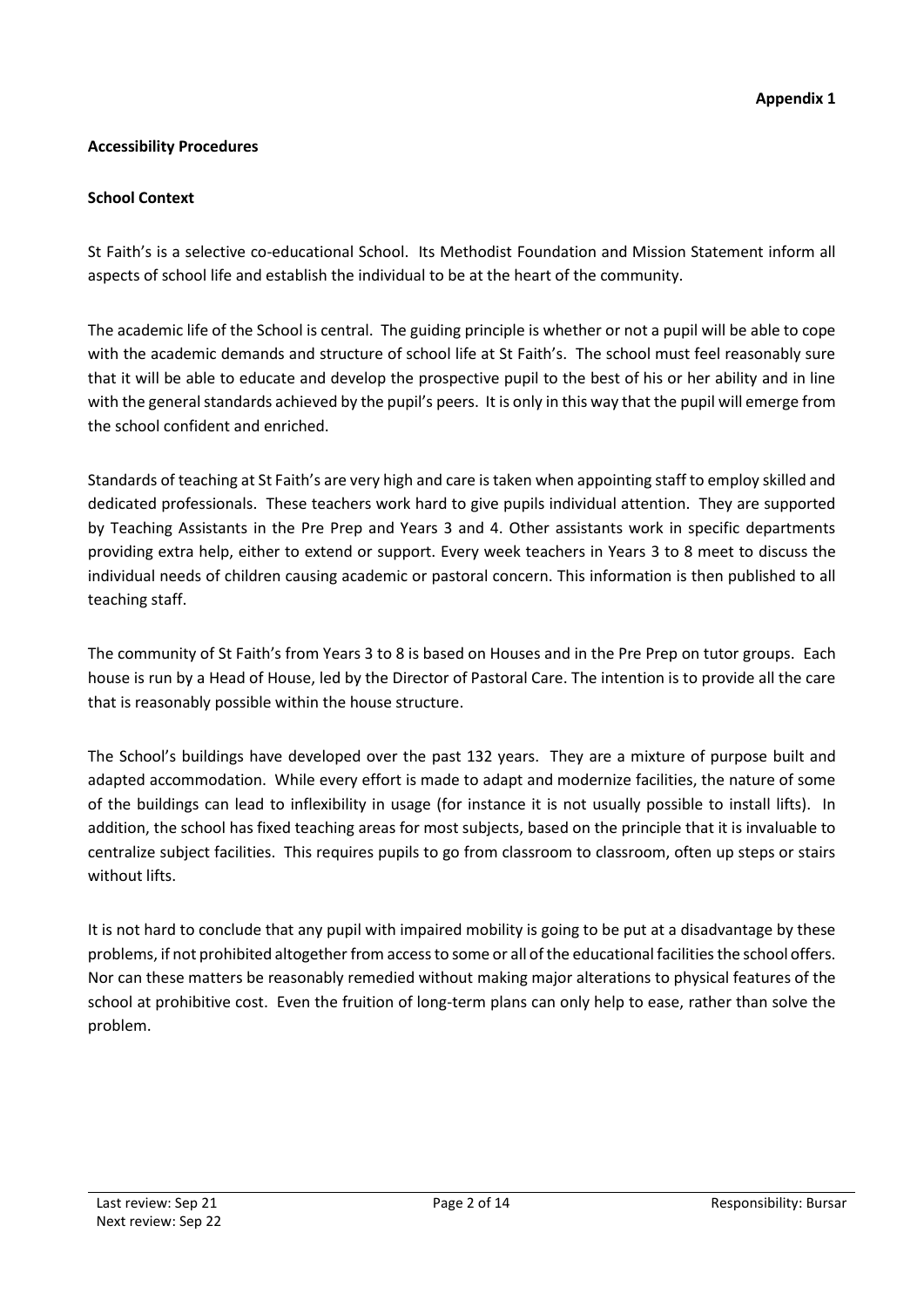## **Accessibility Procedures**

#### **School Context**

St Faith's is a selective co-educational School. Its Methodist Foundation and Mission Statement inform all aspects of school life and establish the individual to be at the heart of the community.

The academic life of the School is central. The guiding principle is whether or not a pupil will be able to cope with the academic demands and structure of school life at St Faith's. The school must feel reasonably sure that it will be able to educate and develop the prospective pupil to the best of his or her ability and in line with the general standards achieved by the pupil's peers. It is only in this way that the pupil will emerge from the school confident and enriched.

Standards of teaching at St Faith's are very high and care is taken when appointing staff to employ skilled and dedicated professionals. These teachers work hard to give pupils individual attention. They are supported by Teaching Assistants in the Pre Prep and Years 3 and 4. Other assistants work in specific departments providing extra help, either to extend or support. Every week teachers in Years 3 to 8 meet to discuss the individual needs of children causing academic or pastoral concern. This information is then published to all teaching staff.

The community of St Faith's from Years 3 to 8 is based on Houses and in the Pre Prep on tutor groups. Each house is run by a Head of House, led by the Director of Pastoral Care. The intention is to provide all the care that is reasonably possible within the house structure.

The School's buildings have developed over the past 132 years. They are a mixture of purpose built and adapted accommodation. While every effort is made to adapt and modernize facilities, the nature of some of the buildings can lead to inflexibility in usage (for instance it is not usually possible to install lifts). In addition, the school has fixed teaching areas for most subjects, based on the principle that it is invaluable to centralize subject facilities. This requires pupils to go from classroom to classroom, often up steps or stairs without lifts.

It is not hard to conclude that any pupil with impaired mobility is going to be put at a disadvantage by these problems, if not prohibited altogether from access to some or all of the educational facilities the school offers. Nor can these matters be reasonably remedied without making major alterations to physical features of the school at prohibitive cost. Even the fruition of long-term plans can only help to ease, rather than solve the problem.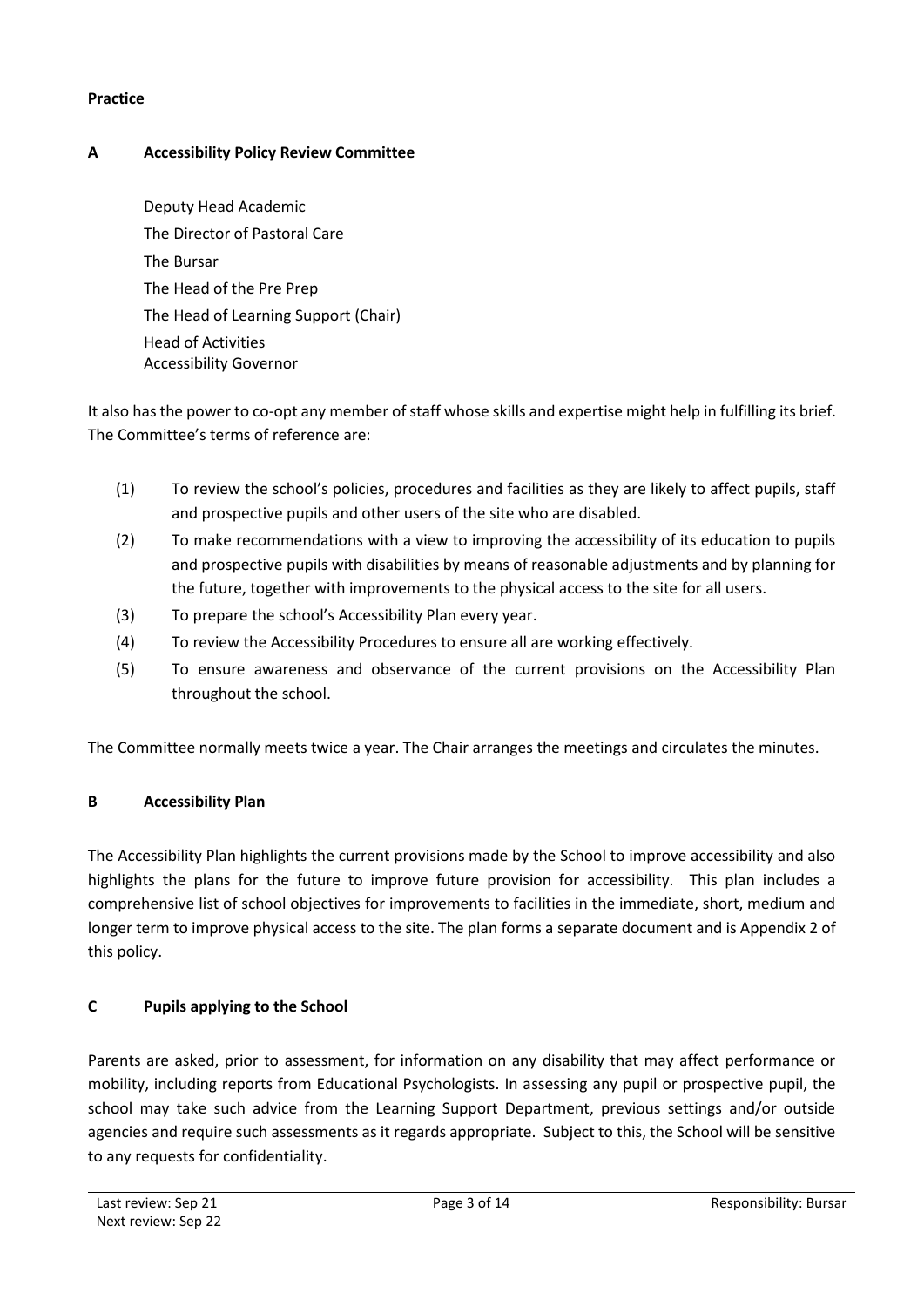#### **Practice**

# **A Accessibility Policy Review Committee**

Deputy Head Academic The Director of Pastoral Care The Bursar The Head of the Pre Prep The Head of Learning Support (Chair) Head of Activities Accessibility Governor

It also has the power to co-opt any member of staff whose skills and expertise might help in fulfilling its brief. The Committee's terms of reference are:

- (1) To review the school's policies, procedures and facilities as they are likely to affect pupils, staff and prospective pupils and other users of the site who are disabled.
- (2) To make recommendations with a view to improving the accessibility of its education to pupils and prospective pupils with disabilities by means of reasonable adjustments and by planning for the future, together with improvements to the physical access to the site for all users.
- (3) To prepare the school's Accessibility Plan every year.
- (4) To review the Accessibility Procedures to ensure all are working effectively.
- (5) To ensure awareness and observance of the current provisions on the Accessibility Plan throughout the school.

The Committee normally meets twice a year. The Chair arranges the meetings and circulates the minutes.

# **B Accessibility Plan**

The Accessibility Plan highlights the current provisions made by the School to improve accessibility and also highlights the plans for the future to improve future provision for accessibility. This plan includes a comprehensive list of school objectives for improvements to facilities in the immediate, short, medium and longer term to improve physical access to the site. The plan forms a separate document and is Appendix 2 of this policy.

# **C Pupils applying to the School**

Parents are asked, prior to assessment, for information on any disability that may affect performance or mobility, including reports from Educational Psychologists. In assessing any pupil or prospective pupil, the school may take such advice from the Learning Support Department, previous settings and/or outside agencies and require such assessments as it regards appropriate. Subject to this, the School will be sensitive to any requests for confidentiality.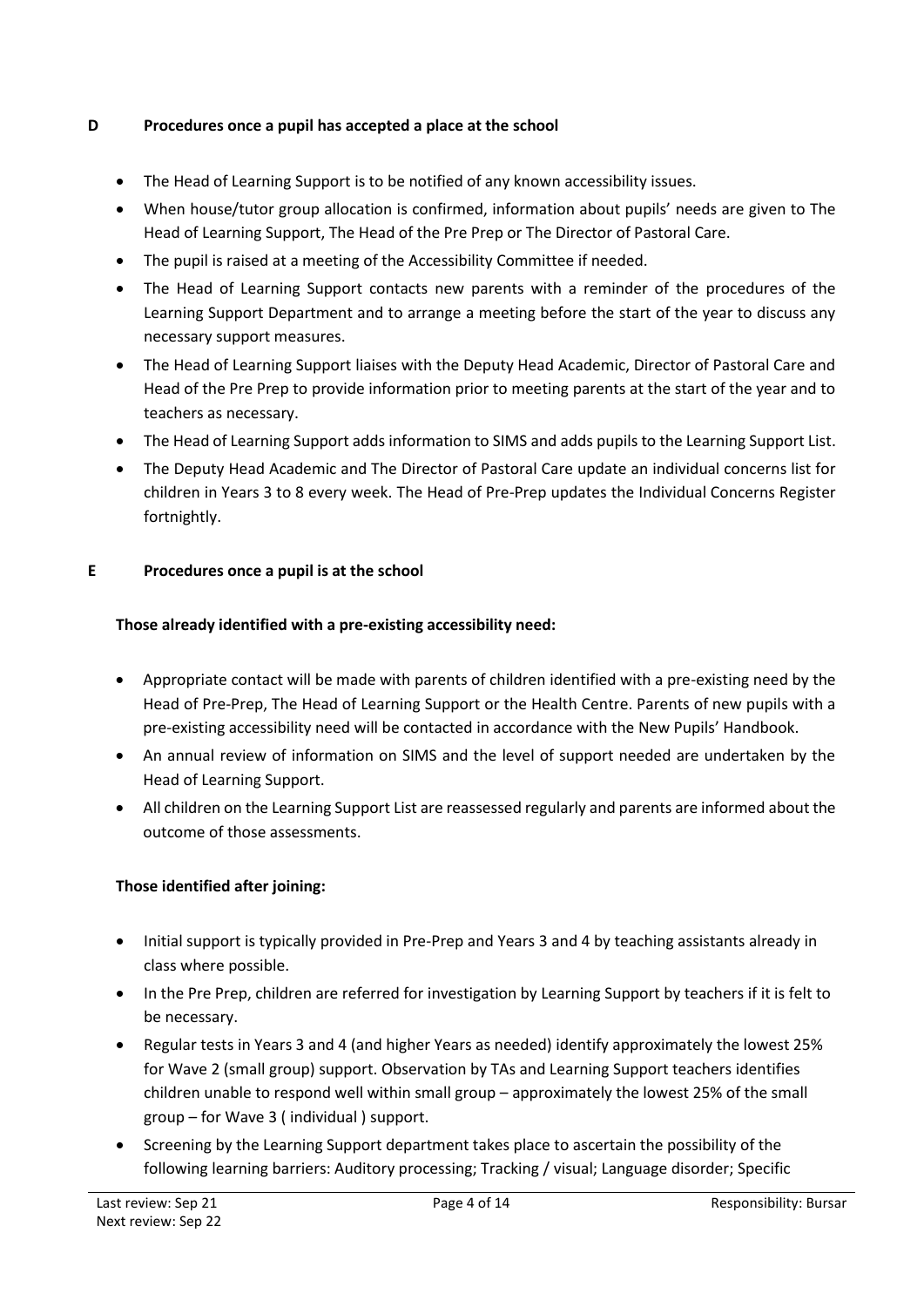# **D Procedures once a pupil has accepted a place at the school**

- The Head of Learning Support is to be notified of any known accessibility issues.
- When house/tutor group allocation is confirmed, information about pupils' needs are given to The Head of Learning Support, The Head of the Pre Prep or The Director of Pastoral Care.
- The pupil is raised at a meeting of the Accessibility Committee if needed.
- The Head of Learning Support contacts new parents with a reminder of the procedures of the Learning Support Department and to arrange a meeting before the start of the year to discuss any necessary support measures.
- The Head of Learning Support liaises with the Deputy Head Academic, Director of Pastoral Care and Head of the Pre Prep to provide information prior to meeting parents at the start of the year and to teachers as necessary.
- The Head of Learning Support adds information to SIMS and adds pupils to the Learning Support List.
- The Deputy Head Academic and The Director of Pastoral Care update an individual concerns list for children in Years 3 to 8 every week. The Head of Pre-Prep updates the Individual Concerns Register fortnightly.

#### **E Procedures once a pupil is at the school**

#### **Those already identified with a pre-existing accessibility need:**

- Appropriate contact will be made with parents of children identified with a pre-existing need by the Head of Pre-Prep, The Head of Learning Support or the Health Centre. Parents of new pupils with a pre-existing accessibility need will be contacted in accordance with the New Pupils' Handbook.
- An annual review of information on SIMS and the level of support needed are undertaken by the Head of Learning Support.
- All children on the Learning Support List are reassessed regularly and parents are informed about the outcome of those assessments.

# **Those identified after joining:**

- Initial support is typically provided in Pre-Prep and Years 3 and 4 by teaching assistants already in class where possible.
- In the Pre Prep, children are referred for investigation by Learning Support by teachers if it is felt to be necessary.
- Regular tests in Years 3 and 4 (and higher Years as needed) identify approximately the lowest 25% for Wave 2 (small group) support. Observation by TAs and Learning Support teachers identifies children unable to respond well within small group – approximately the lowest 25% of the small group – for Wave 3 ( individual ) support.
- Screening by the Learning Support department takes place to ascertain the possibility of the following learning barriers: Auditory processing; Tracking / visual; Language disorder; Specific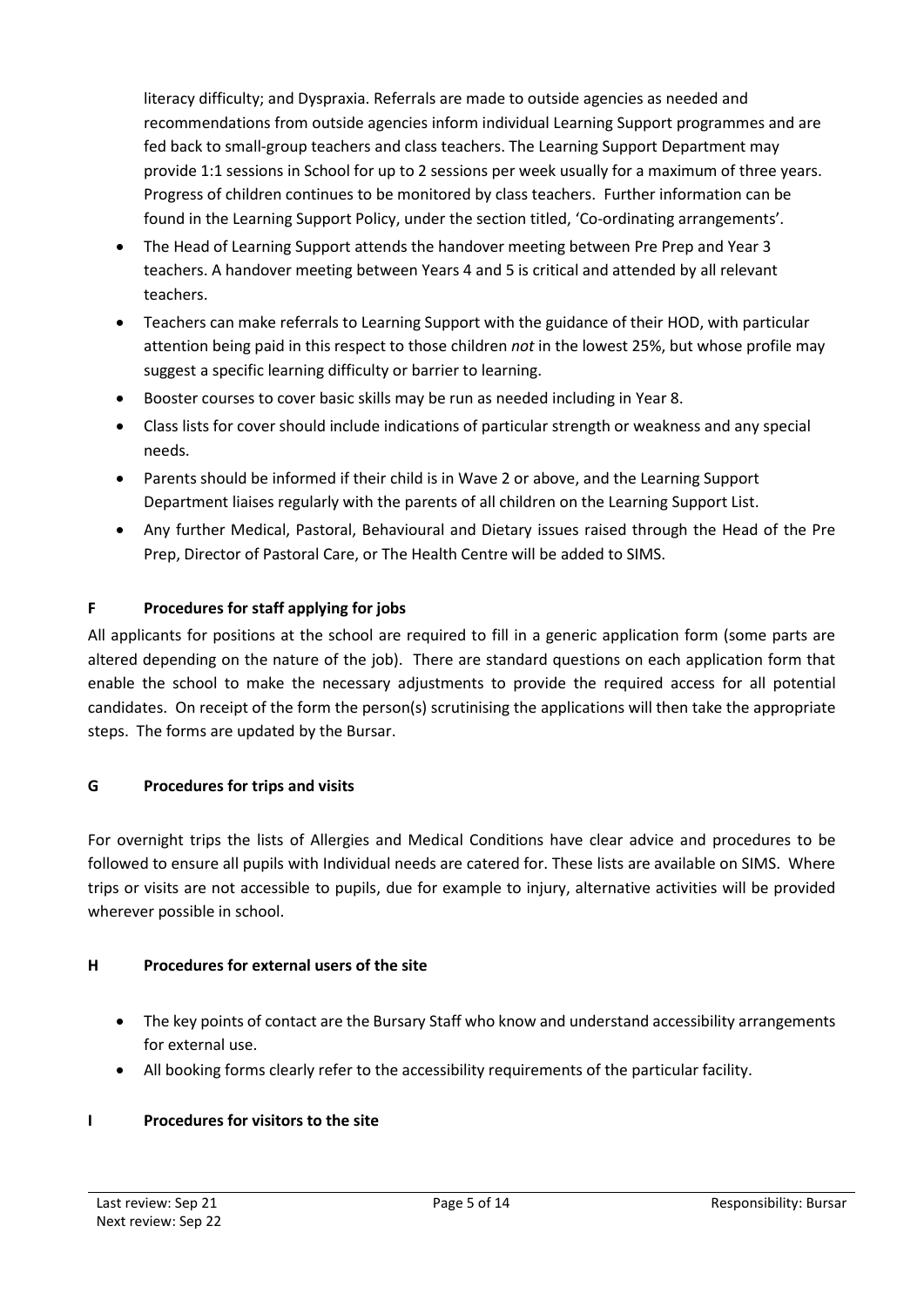literacy difficulty; and Dyspraxia. Referrals are made to outside agencies as needed and recommendations from outside agencies inform individual Learning Support programmes and are fed back to small-group teachers and class teachers. The Learning Support Department may provide 1:1 sessions in School for up to 2 sessions per week usually for a maximum of three years. Progress of children continues to be monitored by class teachers. Further information can be found in the Learning Support Policy, under the section titled, 'Co-ordinating arrangements'.

- The Head of Learning Support attends the handover meeting between Pre Prep and Year 3 teachers. A handover meeting between Years 4 and 5 is critical and attended by all relevant teachers.
- Teachers can make referrals to Learning Support with the guidance of their HOD, with particular attention being paid in this respect to those children *not* in the lowest 25%, but whose profile may suggest a specific learning difficulty or barrier to learning.
- Booster courses to cover basic skills may be run as needed including in Year 8.
- Class lists for cover should include indications of particular strength or weakness and any special needs.
- Parents should be informed if their child is in Wave 2 or above, and the Learning Support Department liaises regularly with the parents of all children on the Learning Support List.
- Any further Medical, Pastoral, Behavioural and Dietary issues raised through the Head of the Pre Prep, Director of Pastoral Care, or The Health Centre will be added to SIMS.

# **F Procedures for staff applying for jobs**

All applicants for positions at the school are required to fill in a generic application form (some parts are altered depending on the nature of the job). There are standard questions on each application form that enable the school to make the necessary adjustments to provide the required access for all potential candidates. On receipt of the form the person(s) scrutinising the applications will then take the appropriate steps. The forms are updated by the Bursar.

# **G Procedures for trips and visits**

For overnight trips the lists of Allergies and Medical Conditions have clear advice and procedures to be followed to ensure all pupils with Individual needs are catered for. These lists are available on SIMS. Where trips or visits are not accessible to pupils, due for example to injury, alternative activities will be provided wherever possible in school.

# **H Procedures for external users of the site**

- The key points of contact are the Bursary Staff who know and understand accessibility arrangements for external use.
- All booking forms clearly refer to the accessibility requirements of the particular facility.

# **I Procedures for visitors to the site**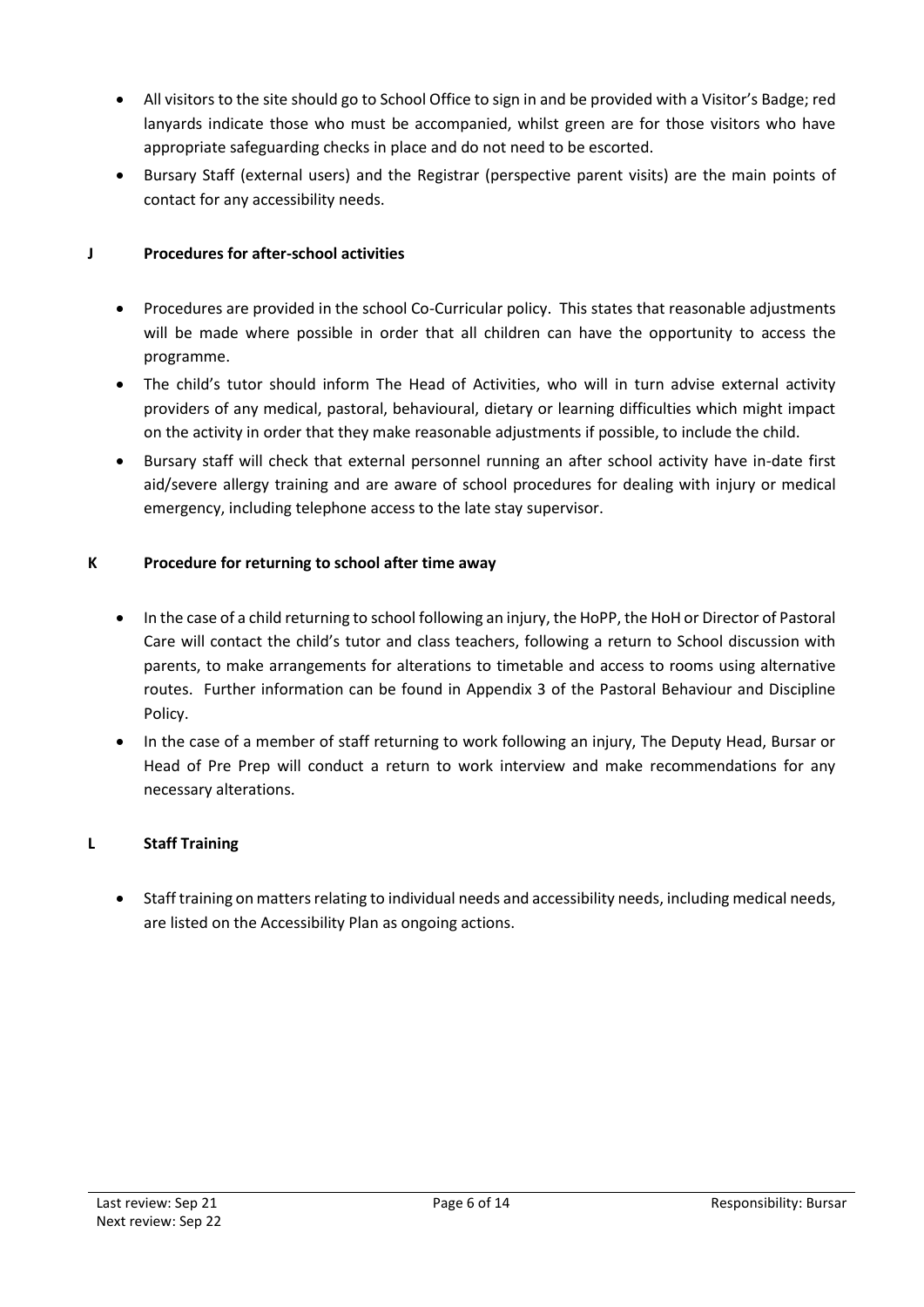- All visitors to the site should go to School Office to sign in and be provided with a Visitor's Badge; red lanyards indicate those who must be accompanied, whilst green are for those visitors who have appropriate safeguarding checks in place and do not need to be escorted.
- Bursary Staff (external users) and the Registrar (perspective parent visits) are the main points of contact for any accessibility needs.

## **J Procedures for after-school activities**

- Procedures are provided in the school Co-Curricular policy. This states that reasonable adjustments will be made where possible in order that all children can have the opportunity to access the programme.
- The child's tutor should inform The Head of Activities, who will in turn advise external activity providers of any medical, pastoral, behavioural, dietary or learning difficulties which might impact on the activity in order that they make reasonable adjustments if possible, to include the child.
- Bursary staff will check that external personnel running an after school activity have in-date first aid/severe allergy training and are aware of school procedures for dealing with injury or medical emergency, including telephone access to the late stay supervisor.

#### **K Procedure for returning to school after time away**

- In the case of a child returning to school following an injury, the HoPP, the HoH or Director of Pastoral Care will contact the child's tutor and class teachers, following a return to School discussion with parents, to make arrangements for alterations to timetable and access to rooms using alternative routes. Further information can be found in Appendix 3 of the Pastoral Behaviour and Discipline Policy.
- In the case of a member of staff returning to work following an injury, The Deputy Head, Bursar or Head of Pre Prep will conduct a return to work interview and make recommendations for any necessary alterations.

# **L Staff Training**

• Staff training on matters relating to individual needs and accessibility needs, including medical needs, are listed on the Accessibility Plan as ongoing actions.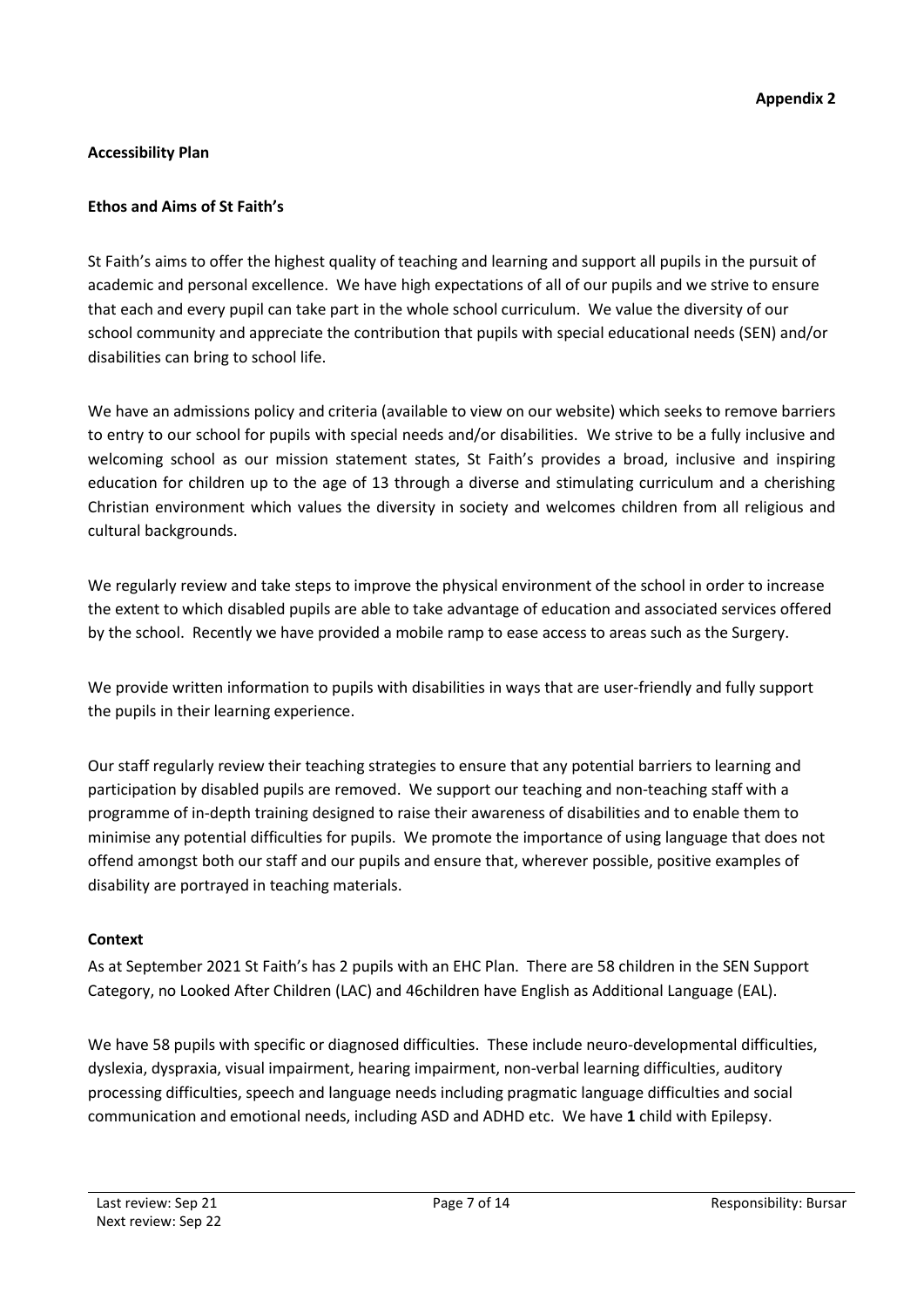# **Accessibility Plan**

## **Ethos and Aims of St Faith's**

St Faith's aims to offer the highest quality of teaching and learning and support all pupils in the pursuit of academic and personal excellence. We have high expectations of all of our pupils and we strive to ensure that each and every pupil can take part in the whole school curriculum. We value the diversity of our school community and appreciate the contribution that pupils with special educational needs (SEN) and/or disabilities can bring to school life.

We have an admissions policy and criteria (available to view on our website) which seeks to remove barriers to entry to our school for pupils with special needs and/or disabilities. We strive to be a fully inclusive and welcoming school as our mission statement states, St Faith's provides a broad, inclusive and inspiring education for children up to the age of 13 through a diverse and stimulating curriculum and a cherishing Christian environment which values the diversity in society and welcomes children from all religious and cultural backgrounds.

We regularly review and take steps to improve the physical environment of the school in order to increase the extent to which disabled pupils are able to take advantage of education and associated services offered by the school. Recently we have provided a mobile ramp to ease access to areas such as the Surgery.

We provide written information to pupils with disabilities in ways that are user-friendly and fully support the pupils in their learning experience.

Our staff regularly review their teaching strategies to ensure that any potential barriers to learning and participation by disabled pupils are removed. We support our teaching and non-teaching staff with a programme of in-depth training designed to raise their awareness of disabilities and to enable them to minimise any potential difficulties for pupils. We promote the importance of using language that does not offend amongst both our staff and our pupils and ensure that, wherever possible, positive examples of disability are portrayed in teaching materials.

#### **Context**

As at September 2021 St Faith's has 2 pupils with an EHC Plan. There are 58 children in the SEN Support Category, no Looked After Children (LAC) and 46children have English as Additional Language (EAL).

We have 58 pupils with specific or diagnosed difficulties. These include neuro-developmental difficulties, dyslexia, dyspraxia, visual impairment, hearing impairment, non-verbal learning difficulties, auditory processing difficulties, speech and language needs including pragmatic language difficulties and social communication and emotional needs, including ASD and ADHD etc. We have **1** child with Epilepsy.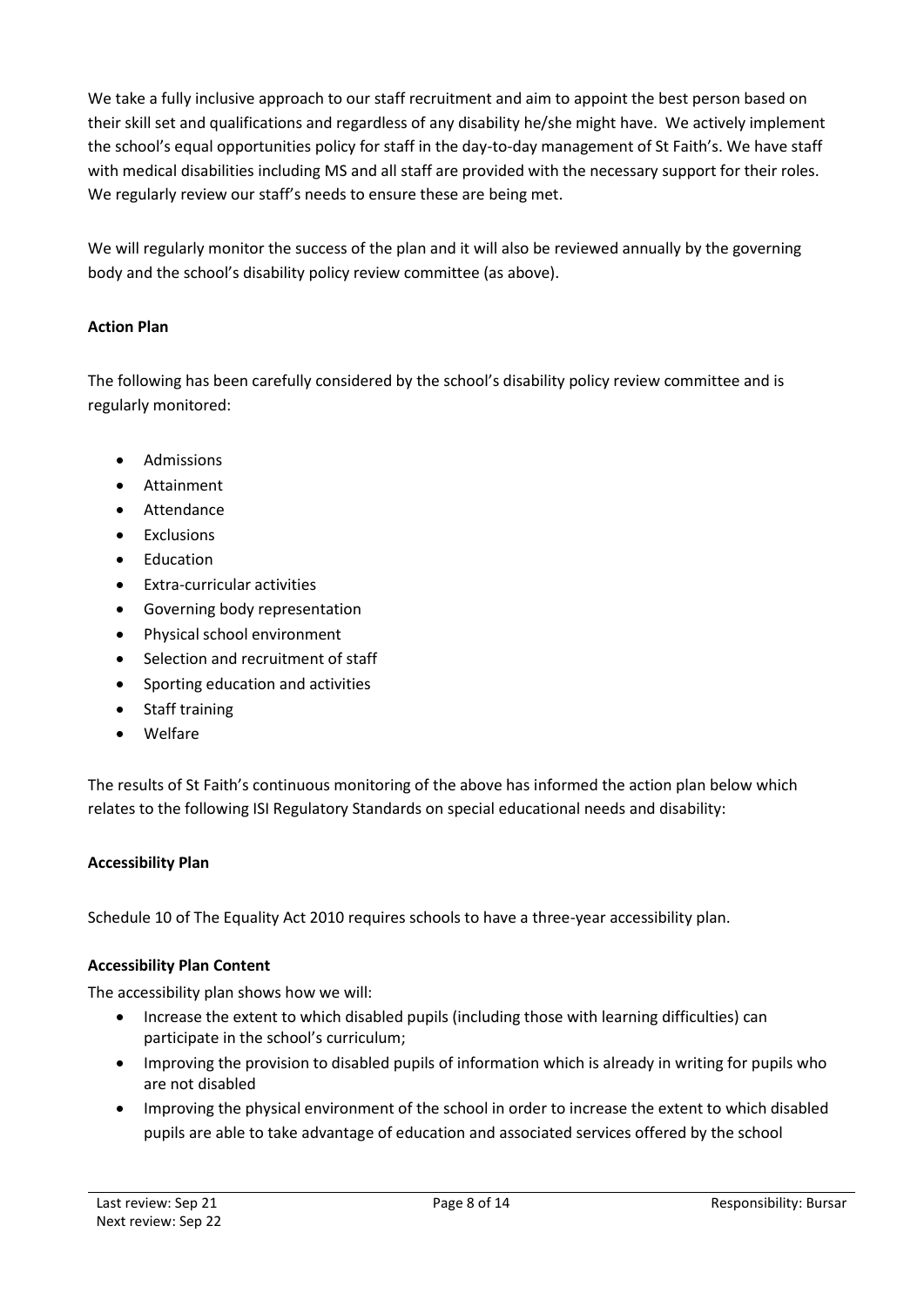We take a fully inclusive approach to our staff recruitment and aim to appoint the best person based on their skill set and qualifications and regardless of any disability he/she might have. We actively implement the school's equal opportunities policy for staff in the day-to-day management of St Faith's. We have staff with medical disabilities including MS and all staff are provided with the necessary support for their roles. We regularly review our staff's needs to ensure these are being met.

We will regularly monitor the success of the plan and it will also be reviewed annually by the governing body and the school's disability policy review committee (as above).

# **Action Plan**

The following has been carefully considered by the school's disability policy review committee and is regularly monitored:

- Admissions
- Attainment
- Attendance
- Exclusions
- Education
- Extra-curricular activities
- Governing body representation
- Physical school environment
- Selection and recruitment of staff
- Sporting education and activities
- Staff training
- Welfare

The results of St Faith's continuous monitoring of the above has informed the action plan below which relates to the following ISI Regulatory Standards on special educational needs and disability:

#### **Accessibility Plan**

Schedule 10 of The Equality Act 2010 requires schools to have a three-year accessibility plan.

#### **Accessibility Plan Content**

The accessibility plan shows how we will:

- Increase the extent to which disabled pupils (including those with learning difficulties) can participate in the school's curriculum;
- Improving the provision to disabled pupils of information which is already in writing for pupils who are not disabled
- Improving the physical environment of the school in order to increase the extent to which disabled pupils are able to take advantage of education and associated services offered by the school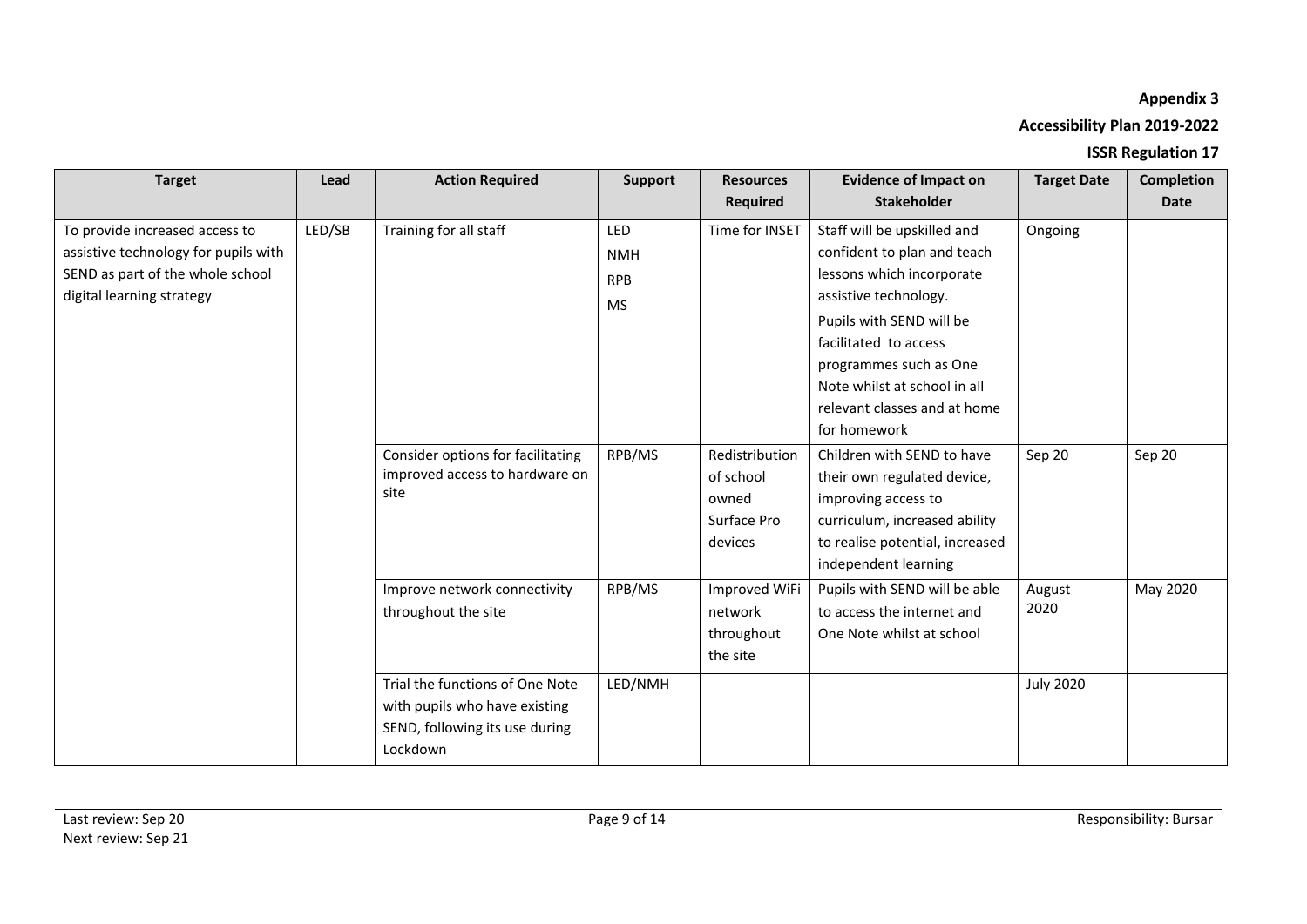# **Appendix 3**

# **Accessibility Plan 2019-2022**

# **ISSR Regulation 17**

| <b>Target</b>                                                                                                                           | Lead   | <b>Action Required</b>                                                                                         | <b>Support</b>                               | <b>Resources</b><br>Required                                   | <b>Evidence of Impact on</b><br><b>Stakeholder</b>                                                                                                                                                                                                                              | <b>Target Date</b> | <b>Completion</b><br><b>Date</b> |
|-----------------------------------------------------------------------------------------------------------------------------------------|--------|----------------------------------------------------------------------------------------------------------------|----------------------------------------------|----------------------------------------------------------------|---------------------------------------------------------------------------------------------------------------------------------------------------------------------------------------------------------------------------------------------------------------------------------|--------------------|----------------------------------|
| To provide increased access to<br>assistive technology for pupils with<br>SEND as part of the whole school<br>digital learning strategy | LED/SB | Training for all staff                                                                                         | <b>LED</b><br><b>NMH</b><br><b>RPB</b><br>MS | Time for INSET                                                 | Staff will be upskilled and<br>confident to plan and teach<br>lessons which incorporate<br>assistive technology.<br>Pupils with SEND will be<br>facilitated to access<br>programmes such as One<br>Note whilst at school in all<br>relevant classes and at home<br>for homework | Ongoing            |                                  |
|                                                                                                                                         |        | Consider options for facilitating<br>improved access to hardware on<br>site                                    | RPB/MS                                       | Redistribution<br>of school<br>owned<br>Surface Pro<br>devices | Children with SEND to have<br>their own regulated device,<br>improving access to<br>curriculum, increased ability<br>to realise potential, increased<br>independent learning                                                                                                    | Sep 20             | Sep 20                           |
|                                                                                                                                         |        | Improve network connectivity<br>throughout the site                                                            | RPB/MS                                       | Improved WiFi<br>network<br>throughout<br>the site             | Pupils with SEND will be able<br>to access the internet and<br>One Note whilst at school                                                                                                                                                                                        | August<br>2020     | May 2020                         |
|                                                                                                                                         |        | Trial the functions of One Note<br>with pupils who have existing<br>SEND, following its use during<br>Lockdown | LED/NMH                                      |                                                                |                                                                                                                                                                                                                                                                                 | <b>July 2020</b>   |                                  |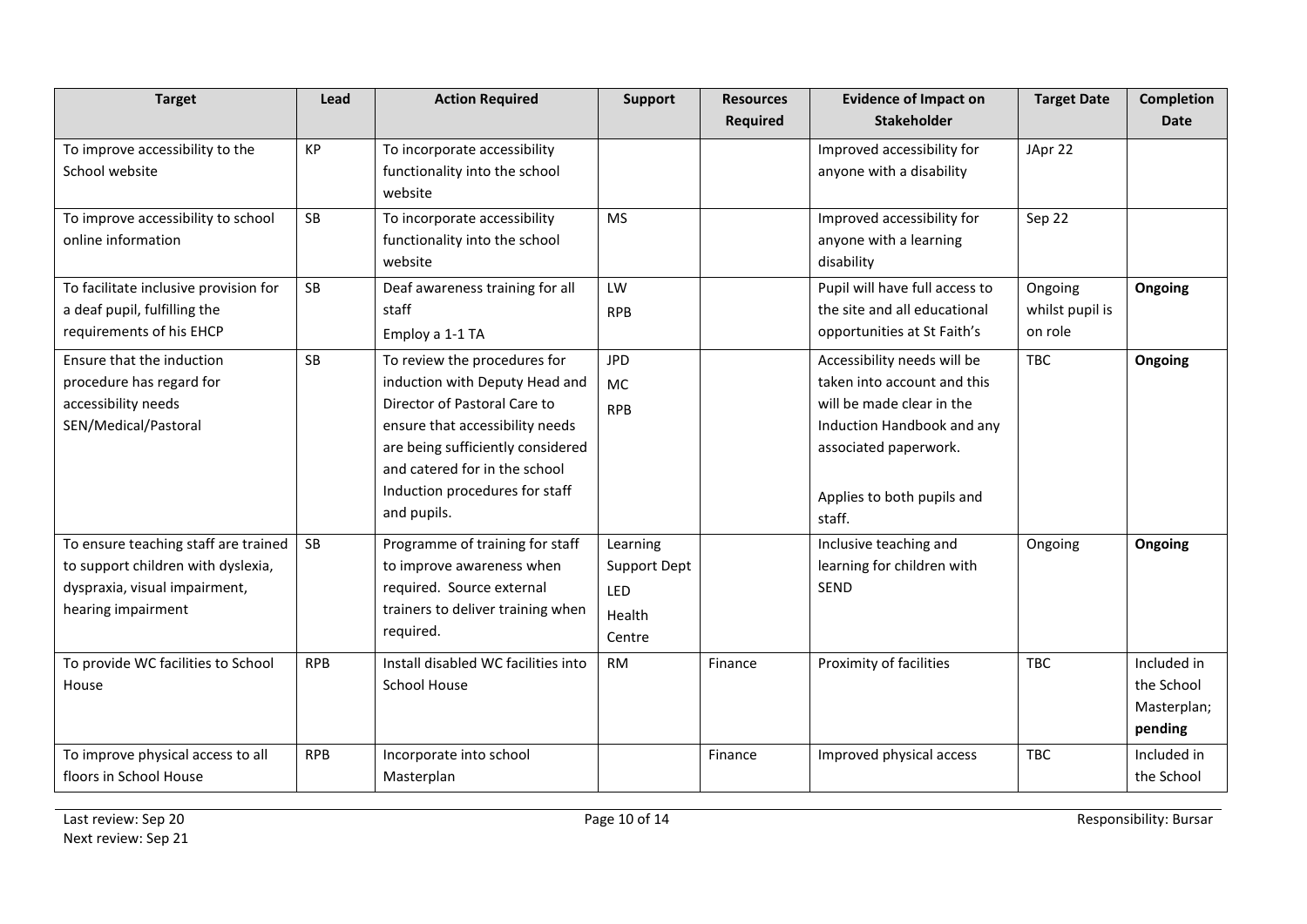| <b>Target</b>                                                                                                                     | Lead       | <b>Action Required</b>                                                                                                                                                                                                                                   | <b>Support</b>                                             | <b>Resources</b> | <b>Evidence of Impact on</b>                                                                                                                                                           | <b>Target Date</b>                    | Completion                                          |
|-----------------------------------------------------------------------------------------------------------------------------------|------------|----------------------------------------------------------------------------------------------------------------------------------------------------------------------------------------------------------------------------------------------------------|------------------------------------------------------------|------------------|----------------------------------------------------------------------------------------------------------------------------------------------------------------------------------------|---------------------------------------|-----------------------------------------------------|
|                                                                                                                                   |            |                                                                                                                                                                                                                                                          |                                                            | Required         | <b>Stakeholder</b>                                                                                                                                                                     |                                       | <b>Date</b>                                         |
| To improve accessibility to the<br>School website                                                                                 | KP         | To incorporate accessibility<br>functionality into the school<br>website                                                                                                                                                                                 |                                                            |                  | Improved accessibility for<br>anyone with a disability                                                                                                                                 | JApr 22                               |                                                     |
| To improve accessibility to school<br>online information                                                                          | SB         | To incorporate accessibility<br>functionality into the school<br>website                                                                                                                                                                                 | <b>MS</b>                                                  |                  | Improved accessibility for<br>anyone with a learning<br>disability                                                                                                                     | Sep 22                                |                                                     |
| To facilitate inclusive provision for<br>a deaf pupil, fulfilling the<br>requirements of his EHCP                                 | SB         | Deaf awareness training for all<br>staff<br>Employ a 1-1 TA                                                                                                                                                                                              | LW<br><b>RPB</b>                                           |                  | Pupil will have full access to<br>the site and all educational<br>opportunities at St Faith's                                                                                          | Ongoing<br>whilst pupil is<br>on role | Ongoing                                             |
| Ensure that the induction<br>procedure has regard for<br>accessibility needs<br>SEN/Medical/Pastoral                              | SB         | To review the procedures for<br>induction with Deputy Head and<br>Director of Pastoral Care to<br>ensure that accessibility needs<br>are being sufficiently considered<br>and catered for in the school<br>Induction procedures for staff<br>and pupils. | <b>JPD</b><br><b>MC</b><br><b>RPB</b>                      |                  | Accessibility needs will be<br>taken into account and this<br>will be made clear in the<br>Induction Handbook and any<br>associated paperwork.<br>Applies to both pupils and<br>staff. | <b>TBC</b>                            | Ongoing                                             |
| To ensure teaching staff are trained<br>to support children with dyslexia,<br>dyspraxia, visual impairment,<br>hearing impairment | <b>SB</b>  | Programme of training for staff<br>to improve awareness when<br>required. Source external<br>trainers to deliver training when<br>required.                                                                                                              | Learning<br>Support Dept<br><b>LED</b><br>Health<br>Centre |                  | Inclusive teaching and<br>learning for children with<br>SEND                                                                                                                           | Ongoing                               | Ongoing                                             |
| To provide WC facilities to School<br>House                                                                                       | <b>RPB</b> | Install disabled WC facilities into<br><b>School House</b>                                                                                                                                                                                               | <b>RM</b>                                                  | Finance          | Proximity of facilities                                                                                                                                                                | <b>TBC</b>                            | Included in<br>the School<br>Masterplan;<br>pending |
| To improve physical access to all<br>floors in School House                                                                       | <b>RPB</b> | Incorporate into school<br>Masterplan                                                                                                                                                                                                                    |                                                            | Finance          | Improved physical access                                                                                                                                                               | <b>TBC</b>                            | Included in<br>the School                           |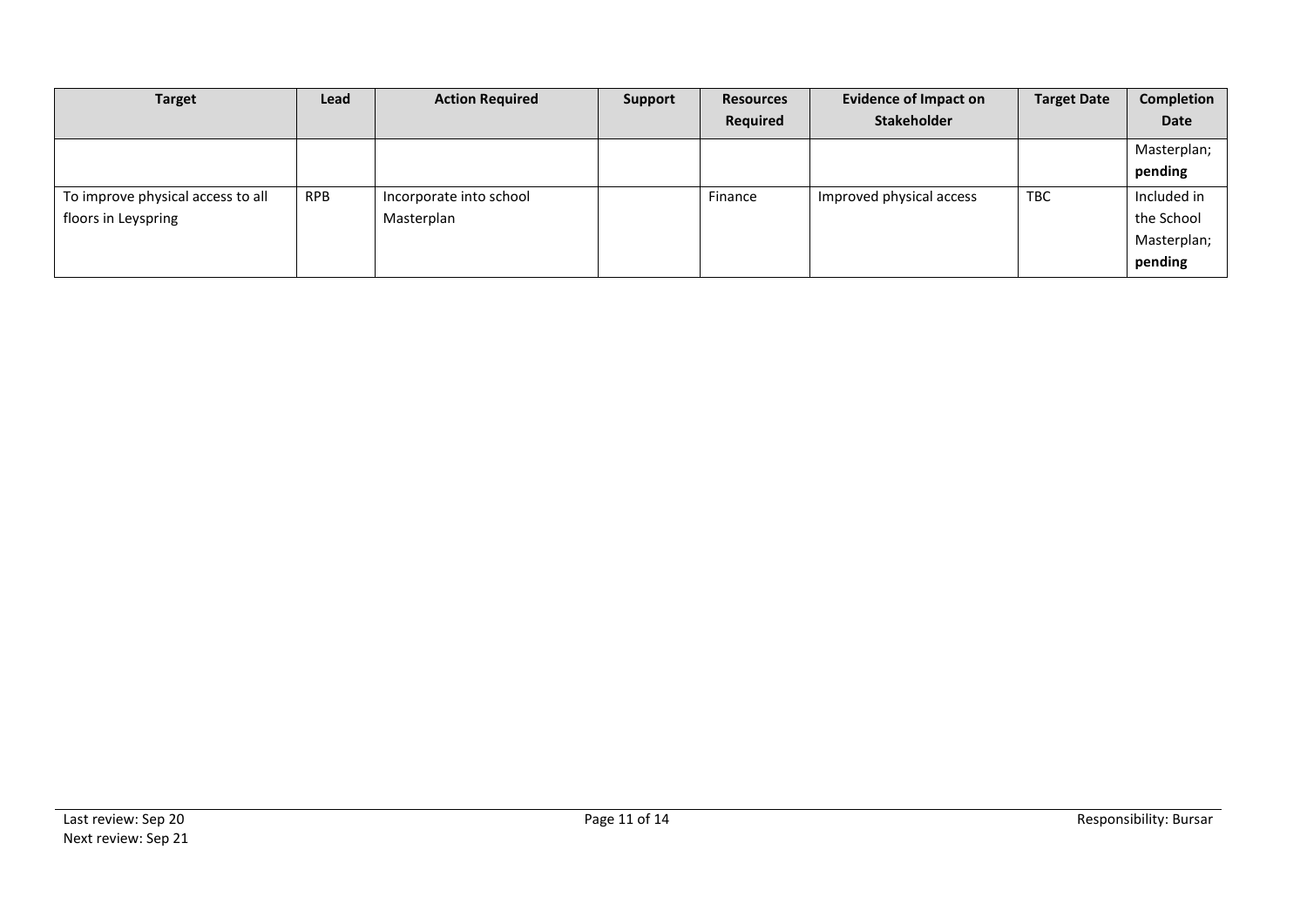| <b>Target</b>                     | Lead       | <b>Action Required</b>  | Support | <b>Resources</b> | <b>Evidence of Impact on</b> | <b>Target Date</b> | Completion  |
|-----------------------------------|------------|-------------------------|---------|------------------|------------------------------|--------------------|-------------|
|                                   |            |                         |         | <b>Required</b>  | <b>Stakeholder</b>           |                    | Date        |
|                                   |            |                         |         |                  |                              |                    | Masterplan; |
|                                   |            |                         |         |                  |                              |                    | pending     |
| To improve physical access to all | <b>RPB</b> | Incorporate into school |         | Finance          | Improved physical access     | <b>TBC</b>         | Included in |
| floors in Leyspring               |            | Masterplan              |         |                  |                              |                    | the School  |
|                                   |            |                         |         |                  |                              |                    | Masterplan; |
|                                   |            |                         |         |                  |                              |                    | pending     |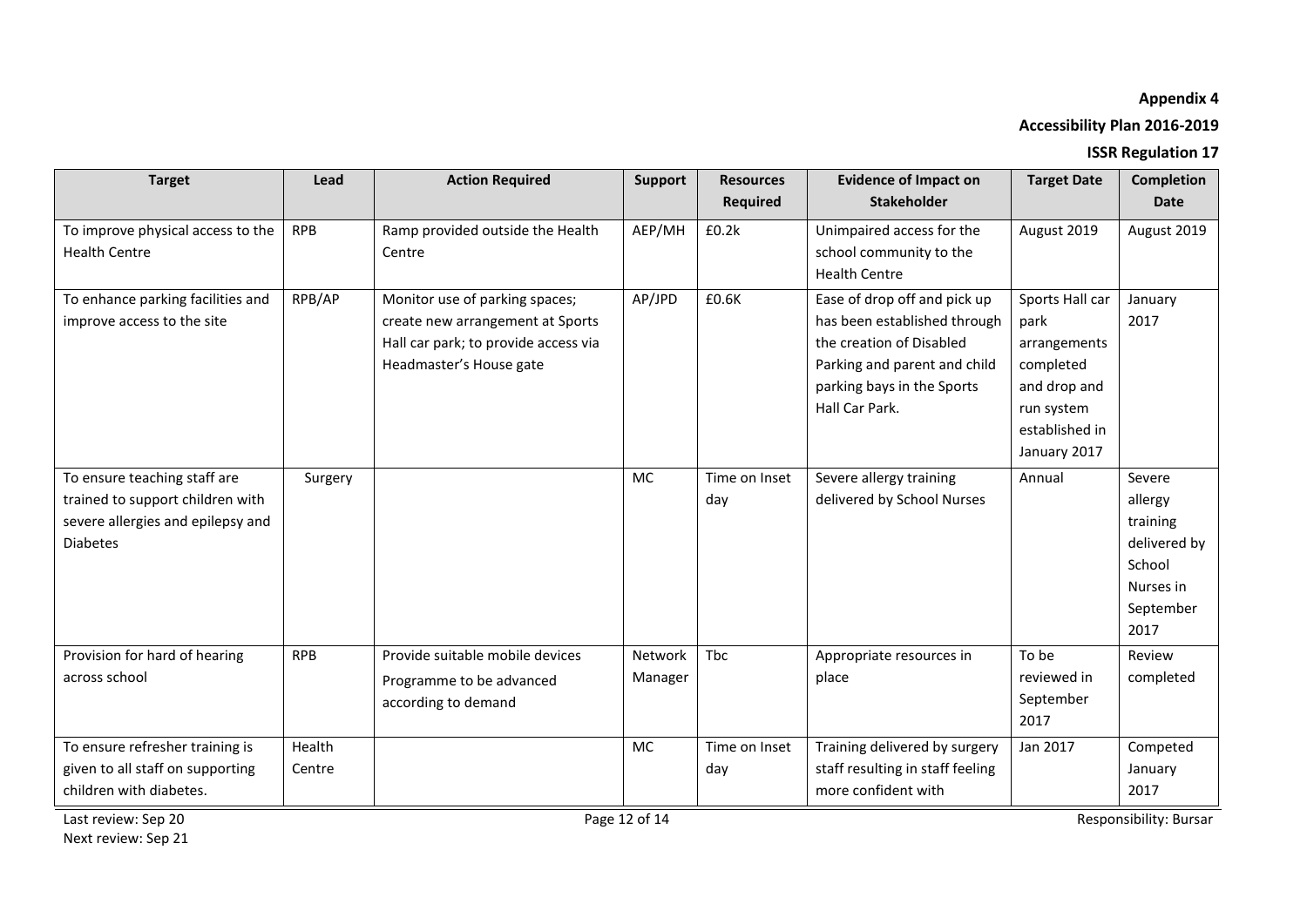# **Appendix 4**

# **Accessibility Plan 2016-2019**

## **ISSR Regulation 17**

| <b>Target</b>                                                                                                            | Lead             | <b>Action Required</b>                                                                                                                | Support            | <b>Resources</b><br><b>Required</b> | <b>Evidence of Impact on</b><br><b>Stakeholder</b>                                                                                                                       | <b>Target Date</b>                                                                                                   | <b>Completion</b><br><b>Date</b>                                                          |
|--------------------------------------------------------------------------------------------------------------------------|------------------|---------------------------------------------------------------------------------------------------------------------------------------|--------------------|-------------------------------------|--------------------------------------------------------------------------------------------------------------------------------------------------------------------------|----------------------------------------------------------------------------------------------------------------------|-------------------------------------------------------------------------------------------|
| To improve physical access to the<br><b>Health Centre</b>                                                                | <b>RPB</b>       | Ramp provided outside the Health<br>Centre                                                                                            | AEP/MH             | £0.2k                               | Unimpaired access for the<br>school community to the<br><b>Health Centre</b>                                                                                             | August 2019                                                                                                          | August 2019                                                                               |
| To enhance parking facilities and<br>improve access to the site                                                          | RPB/AP           | Monitor use of parking spaces;<br>create new arrangement at Sports<br>Hall car park; to provide access via<br>Headmaster's House gate | AP/JPD             | £0.6K                               | Ease of drop off and pick up<br>has been established through<br>the creation of Disabled<br>Parking and parent and child<br>parking bays in the Sports<br>Hall Car Park. | Sports Hall car<br>park<br>arrangements<br>completed<br>and drop and<br>run system<br>established in<br>January 2017 | January<br>2017                                                                           |
| To ensure teaching staff are<br>trained to support children with<br>severe allergies and epilepsy and<br><b>Diabetes</b> | Surgery          |                                                                                                                                       | <b>MC</b>          | Time on Inset<br>day                | Severe allergy training<br>delivered by School Nurses                                                                                                                    | Annual                                                                                                               | Severe<br>allergy<br>training<br>delivered by<br>School<br>Nurses in<br>September<br>2017 |
| Provision for hard of hearing<br>across school                                                                           | <b>RPB</b>       | Provide suitable mobile devices<br>Programme to be advanced<br>according to demand                                                    | Network<br>Manager | Tbc                                 | Appropriate resources in<br>place                                                                                                                                        | To be<br>reviewed in<br>September<br>2017                                                                            | Review<br>completed                                                                       |
| To ensure refresher training is<br>given to all staff on supporting<br>children with diabetes.                           | Health<br>Centre |                                                                                                                                       | <b>MC</b>          | Time on Inset<br>day                | Training delivered by surgery<br>staff resulting in staff feeling<br>more confident with                                                                                 | Jan 2017                                                                                                             | Competed<br>January<br>2017                                                               |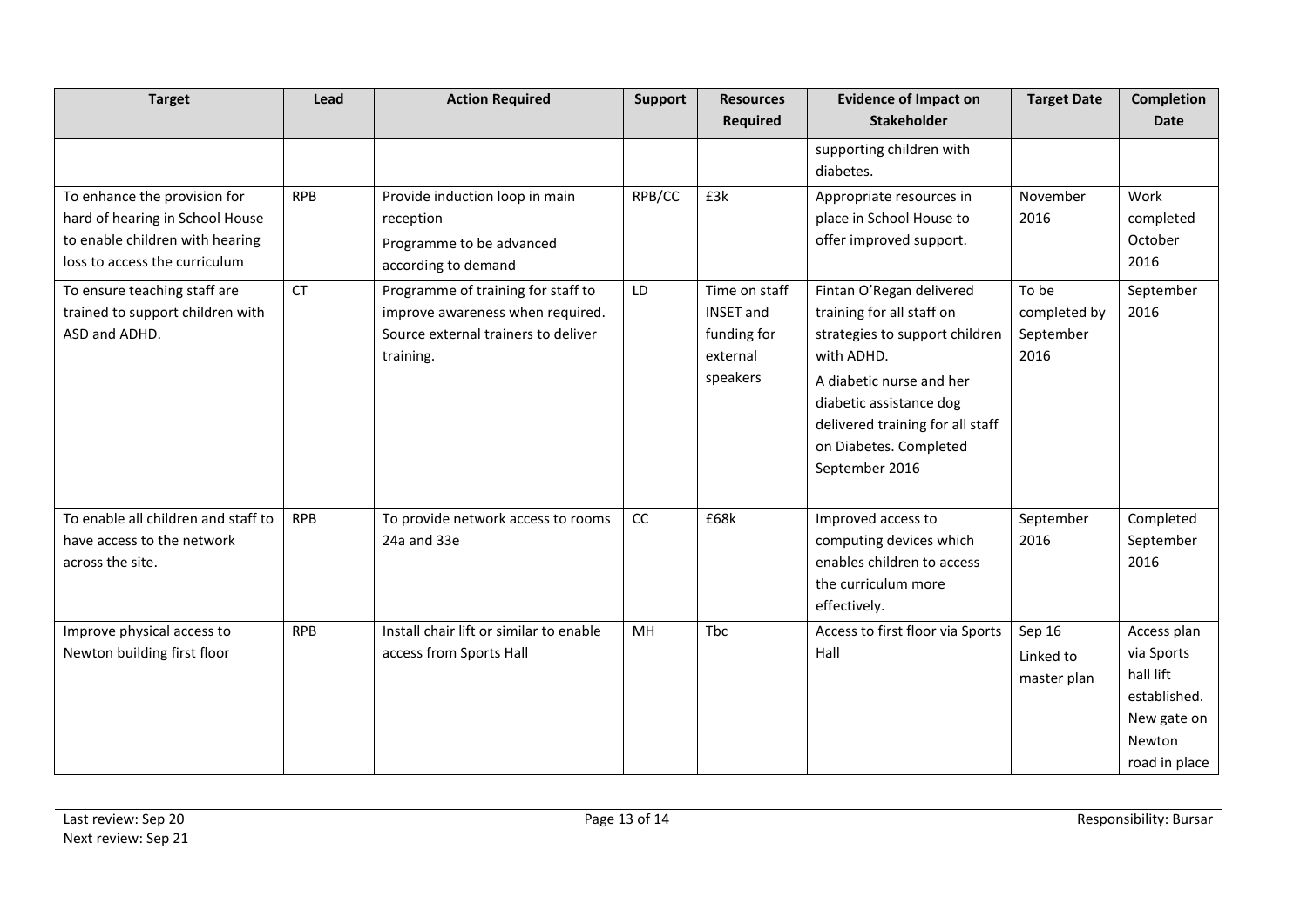| <b>Target</b>                                                                                                                       | Lead       | <b>Action Required</b>                                                                                                     | Support       | <b>Resources</b>                                                         | <b>Evidence of Impact on</b>                                                                                                                                                                                                                 | <b>Target Date</b>                         | <b>Completion</b>                                                                                |
|-------------------------------------------------------------------------------------------------------------------------------------|------------|----------------------------------------------------------------------------------------------------------------------------|---------------|--------------------------------------------------------------------------|----------------------------------------------------------------------------------------------------------------------------------------------------------------------------------------------------------------------------------------------|--------------------------------------------|--------------------------------------------------------------------------------------------------|
|                                                                                                                                     |            |                                                                                                                            |               | <b>Required</b>                                                          | <b>Stakeholder</b>                                                                                                                                                                                                                           |                                            | <b>Date</b>                                                                                      |
|                                                                                                                                     |            |                                                                                                                            |               |                                                                          | supporting children with<br>diabetes.                                                                                                                                                                                                        |                                            |                                                                                                  |
| To enhance the provision for<br>hard of hearing in School House<br>to enable children with hearing<br>loss to access the curriculum | <b>RPB</b> | Provide induction loop in main<br>reception<br>Programme to be advanced<br>according to demand                             | RPB/CC        | £3k                                                                      | Appropriate resources in<br>place in School House to<br>offer improved support.                                                                                                                                                              | November<br>2016                           | Work<br>completed<br>October<br>2016                                                             |
| To ensure teaching staff are<br>trained to support children with<br>ASD and ADHD.                                                   | CT         | Programme of training for staff to<br>improve awareness when required.<br>Source external trainers to deliver<br>training. | LD            | Time on staff<br><b>INSET and</b><br>funding for<br>external<br>speakers | Fintan O'Regan delivered<br>training for all staff on<br>strategies to support children<br>with ADHD.<br>A diabetic nurse and her<br>diabetic assistance dog<br>delivered training for all staff<br>on Diabetes. Completed<br>September 2016 | To be<br>completed by<br>September<br>2016 | September<br>2016                                                                                |
| To enable all children and staff to<br>have access to the network<br>across the site.                                               | <b>RPB</b> | To provide network access to rooms<br>24a and 33e                                                                          | $\mathsf{CC}$ | £68k                                                                     | Improved access to<br>computing devices which<br>enables children to access<br>the curriculum more<br>effectively.                                                                                                                           | September<br>2016                          | Completed<br>September<br>2016                                                                   |
| Improve physical access to<br>Newton building first floor                                                                           | <b>RPB</b> | Install chair lift or similar to enable<br>access from Sports Hall                                                         | <b>MH</b>     | <b>Thc</b>                                                               | Access to first floor via Sports<br>Hall                                                                                                                                                                                                     | Sep 16<br>Linked to<br>master plan         | Access plan<br>via Sports<br>hall lift<br>established.<br>New gate on<br>Newton<br>road in place |